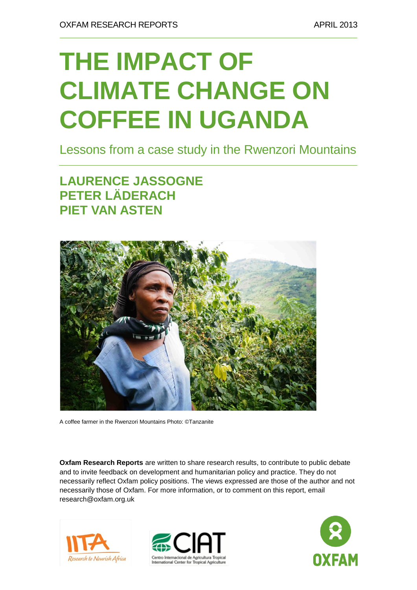# **THE IMPACT OF CLIMATE CHANGE ON COFFEE IN UGANDA**

Lessons from a case study in the Rwenzori Mountains

**LAURENCE JASSOGNE PETER LÄDERACH PIET VAN ASTEN**



A coffee farmer in the Rwenzori Mountains Photo: ©Tanzanite

**Oxfam Research Reports** are written to share research results, to contribute to public debate and to invite feedback on development and humanitarian policy and practice. They do not necessarily reflect Oxfam policy positions. The views expressed are those of the author and not necessarily those of Oxfam. For more information, or to comment on this report, email research@oxfam.org.uk





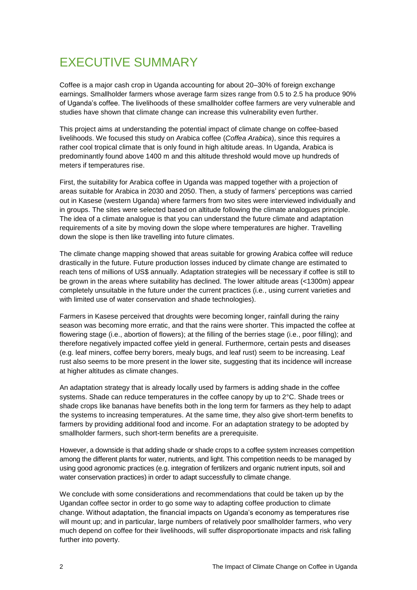### EXECUTIVE SUMMARY

Coffee is a major cash crop in Uganda accounting for about 20–30% of foreign exchange earnings. Smallholder farmers whose average farm sizes range from 0.5 to 2.5 ha produce 90% of Uganda's coffee. The livelihoods of these smallholder coffee farmers are very vulnerable and studies have shown that climate change can increase this vulnerability even further.

This project aims at understanding the potential impact of climate change on coffee-based livelihoods. We focused this study on Arabica coffee (*Coffea Arabica*), since this requires a rather cool tropical climate that is only found in high altitude areas. In Uganda, Arabica is predominantly found above 1400 m and this altitude threshold would move up hundreds of meters if temperatures rise.

First, the suitability for Arabica coffee in Uganda was mapped together with a projection of areas suitable for Arabica in 2030 and 2050. Then, a study of farmers' perceptions was carried out in Kasese (western Uganda) where farmers from two sites were interviewed individually and in groups. The sites were selected based on altitude following the climate analogues principle. The idea of a climate analogue is that you can understand the future climate and adaptation requirements of a site by moving down the slope where temperatures are higher. Travelling down the slope is then like travelling into future climates.

The climate change mapping showed that areas suitable for growing Arabica coffee will reduce drastically in the future. Future production losses induced by climate change are estimated to reach tens of millions of US\$ annually. Adaptation strategies will be necessary if coffee is still to be grown in the areas where suitability has declined. The lower altitude areas (<1300m) appear completely unsuitable in the future under the current practices (i.e., using current varieties and with limited use of water conservation and shade technologies).

Farmers in Kasese perceived that droughts were becoming longer, rainfall during the rainy season was becoming more erratic, and that the rains were shorter. This impacted the coffee at flowering stage (i.e., abortion of flowers); at the filling of the berries stage (i.e., poor filling); and therefore negatively impacted coffee yield in general. Furthermore, certain pests and diseases (e.g. leaf miners, coffee berry borers, mealy bugs, and leaf rust) seem to be increasing. Leaf rust also seems to be more present in the lower site, suggesting that its incidence will increase at higher altitudes as climate changes.

An adaptation strategy that is already locally used by farmers is adding shade in the coffee systems. Shade can reduce temperatures in the coffee canopy by up to 2°C. Shade trees or shade crops like bananas have benefits both in the long term for farmers as they help to adapt the systems to increasing temperatures. At the same time, they also give short-term benefits to farmers by providing additional food and income. For an adaptation strategy to be adopted by smallholder farmers, such short-term benefits are a prerequisite.

However, a downside is that adding shade or shade crops to a coffee system increases competition among the different plants for water, nutrients, and light. This competition needs to be managed by using good agronomic practices (e.g. integration of fertilizers and organic nutrient inputs, soil and water conservation practices) in order to adapt successfully to climate change.

We conclude with some considerations and recommendations that could be taken up by the Ugandan coffee sector in order to go some way to adapting coffee production to climate change. Without adaptation, the financial impacts on Uganda's economy as temperatures rise will mount up; and in particular, large numbers of relatively poor smallholder farmers, who very much depend on coffee for their livelihoods, will suffer disproportionate impacts and risk falling further into poverty.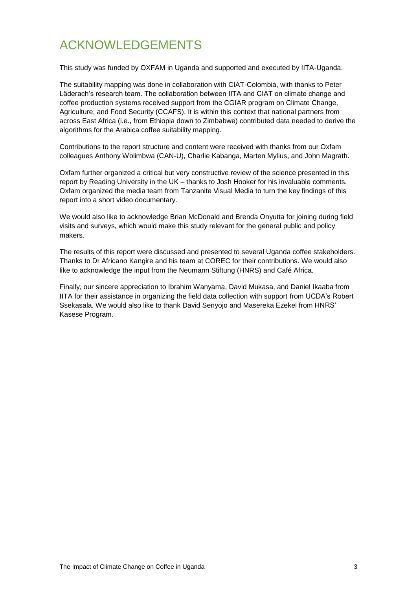## ACKNOWLEDGEMENTS

This study was funded by OXFAM in Uganda and supported and executed by IITA-Uganda.

The suitability mapping was done in collaboration with CIAT-Colombia, with thanks to Peter Läderach's research team. The collaboration between IITA and CIAT on climate change and coffee production systems received support from the CGIAR program on Climate Change, Agriculture, and Food Security (CCAFS). It is within this context that national partners from across East Africa (i.e., from Ethiopia down to Zimbabwe) contributed data needed to derive the algorithms for the Arabica coffee suitability mapping.

Contributions to the report structure and content were received with thanks from our Oxfam colleagues Anthony Wolimbwa (CAN-U), Charlie Kabanga, Marten Mylius, and John Magrath.

Oxfam further organized a critical but very constructive review of the science presented in this report by Reading University in the UK – thanks to Josh Hooker for his invaluable comments. Oxfam organized the media team from Tanzanite Visual Media to turn the key findings of this report into a short video documentary.

We would also like to acknowledge Brian McDonald and Brenda Onyutta for joining during field visits and surveys, which would make this study relevant for the general public and policy makers.

The results of this report were discussed and presented to several Uganda coffee stakeholders. Thanks to Dr Africano Kangire and his team at COREC for their contributions. We would also like to acknowledge the input from the Neumann Stiftung (HNRS) and Café Africa.

Finally, our sincere appreciation to Ibrahim Wanyama, David Mukasa, and Daniel Ikaaba from IITA for their assistance in organizing the field data collection with support from UCDA's Robert Ssekasala. We would also like to thank David Senyojo and Masereka Ezekel from HNRS' Kasese Program.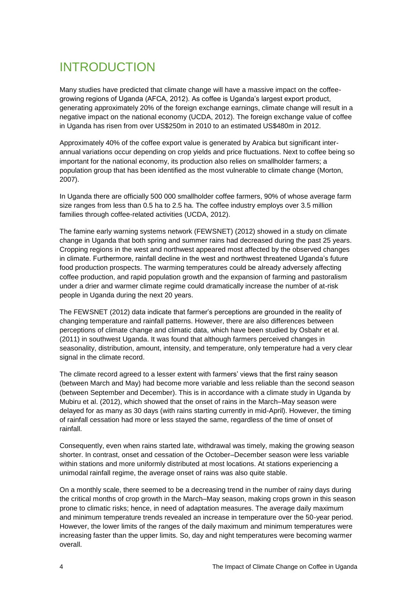## INTRODUCTION

Many studies have predicted that climate change will have a massive impact on the coffeegrowing regions of Uganda (AFCA, 2012). As coffee is Uganda's largest export product, generating approximately 20% of the foreign exchange earnings, climate change will result in a negative impact on the national economy (UCDA, 2012). The foreign exchange value of coffee in Uganda has risen from over US\$250m in 2010 to an estimated US\$480m in 2012.

Approximately 40% of the coffee export value is generated by Arabica but significant interannual variations occur depending on crop yields and price fluctuations. Next to coffee being so important for the national economy, its production also relies on smallholder farmers; a population group that has been identified as the most vulnerable to climate change (Morton, 2007).

In Uganda there are officially 500 000 smallholder coffee farmers, 90% of whose average farm size ranges from less than 0.5 ha to 2.5 ha. The coffee industry employs over 3.5 million families through coffee-related activities (UCDA, 2012).

The famine early warning systems network (FEWSNET) (2012) showed in a study on climate change in Uganda that both spring and summer rains had decreased during the past 25 years. Cropping regions in the west and northwest appeared most affected by the observed changes in climate. Furthermore, rainfall decline in the west and northwest threatened Uganda's future food production prospects. The warming temperatures could be already adversely affecting coffee production, and rapid population growth and the expansion of farming and pastoralism under a drier and warmer climate regime could dramatically increase the number of at-risk people in Uganda during the next 20 years.

The FEWSNET (2012) data indicate that farmer's perceptions are grounded in the reality of changing temperature and rainfall patterns. However, there are also differences between perceptions of climate change and climatic data, which have been studied by Osbahr et al. (2011) in southwest Uganda. It was found that although farmers perceived changes in seasonality, distribution, amount, intensity, and temperature, only temperature had a very clear signal in the climate record.

The climate record agreed to a lesser extent with farmers' views that the first rainy season (between March and May) had become more variable and less reliable than the second season (between September and December). This is in accordance with a climate study in Uganda by Mubiru et al. (2012), which showed that the onset of rains in the March–May season were delayed for as many as 30 days (with rains starting currently in mid-April). However, the timing of rainfall cessation had more or less stayed the same, regardless of the time of onset of rainfall.

Consequently, even when rains started late, withdrawal was timely, making the growing season shorter. In contrast, onset and cessation of the October–December season were less variable within stations and more uniformly distributed at most locations. At stations experiencing a unimodal rainfall regime, the average onset of rains was also quite stable.

On a monthly scale, there seemed to be a decreasing trend in the number of rainy days during the critical months of crop growth in the March–May season, making crops grown in this season prone to climatic risks; hence, in need of adaptation measures. The average daily maximum and minimum temperature trends revealed an increase in temperature over the 50-year period. However, the lower limits of the ranges of the daily maximum and minimum temperatures were increasing faster than the upper limits. So, day and night temperatures were becoming warmer overall.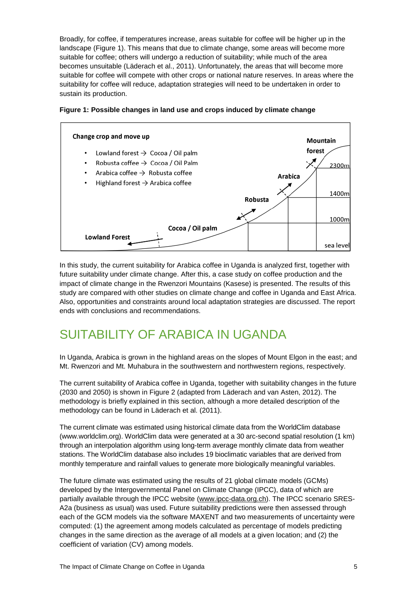Broadly, for coffee, if temperatures increase, areas suitable for coffee will be higher up in the landscape (Figure 1). This means that due to climate change, some areas will become more suitable for coffee; others will undergo a reduction of suitability; while much of the area becomes unsuitable (Läderach et al., 2011). Unfortunately, the areas that will become more suitable for coffee will compete with other crops or national nature reserves. In areas where the suitability for coffee will reduce, adaptation strategies will need to be undertaken in order to sustain its production.



#### **Figure 1: Possible changes in land use and crops induced by climate change**

In this study, the current suitability for Arabica coffee in Uganda is analyzed first, together with future suitability under climate change. After this, a case study on coffee production and the impact of climate change in the Rwenzori Mountains (Kasese) is presented. The results of this study are compared with other studies on climate change and coffee in Uganda and East Africa. Also, opportunities and constraints around local adaptation strategies are discussed. The report ends with conclusions and recommendations.

### SUITABILITY OF ARABICA IN UGANDA

In Uganda, Arabica is grown in the highland areas on the slopes of Mount Elgon in the east; and Mt. Rwenzori and Mt. Muhabura in the southwestern and northwestern regions, respectively.

The current suitability of Arabica coffee in Uganda, together with suitability changes in the future (2030 and 2050) is shown in Figure 2 (adapted from Läderach and van Asten, 2012). The methodology is briefly explained in this section, although a more detailed description of the methodology can be found in Läderach et al. (2011).

The current climate was estimated using historical climate data from the WorldClim database (www.worldclim.org). WorldClim data were generated at a 30 arc-second spatial resolution (1 km) through an interpolation algorithm using long-term average monthly climate data from weather stations. The WorldClim database also includes 19 bioclimatic variables that are derived from monthly temperature and rainfall values to generate more biologically meaningful variables.

The future climate was estimated using the results of 21 global climate models (GCMs) developed by the Intergovernmental Panel on Climate Change (IPCC), data of which are partially available through the IPCC website [\(www.ipcc-data.org.ch\)](http://www.ipcc-data.org.ch/). The IPCC scenario SRES-A2a (business as usual) was used. Future suitability predictions were then assessed through each of the GCM models via the software MAXENT and two measurements of uncertainty were computed: (1) the agreement among models calculated as percentage of models predicting changes in the same direction as the average of all models at a given location; and (2) the coefficient of variation (CV) among models.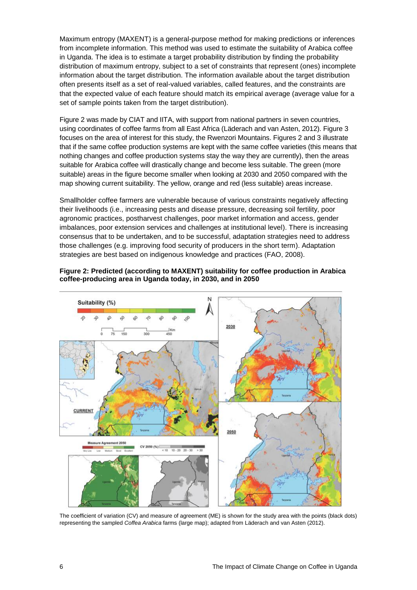Maximum entropy (MAXENT) is a general-purpose method for making predictions or inferences from incomplete information. This method was used to estimate the suitability of Arabica coffee in Uganda. The idea is to estimate a target probability distribution by finding the probability distribution of maximum entropy, subject to a set of constraints that represent (ones) incomplete information about the target distribution. The information available about the target distribution often presents itself as a set of real-valued variables, called features, and the constraints are that the expected value of each feature should match its empirical average (average value for a set of sample points taken from the target distribution).

Figure 2 was made by CIAT and IITA, with support from national partners in seven countries, using coordinates of coffee farms from all East Africa (Läderach and van Asten, 2012). Figure 3 focuses on the area of interest for this study, the Rwenzori Mountains. Figures 2 and 3 illustrate that if the same coffee production systems are kept with the same coffee varieties (this means that nothing changes and coffee production systems stay the way they are currently), then the areas suitable for Arabica coffee will drastically change and become less suitable. The green (more suitable) areas in the figure become smaller when looking at 2030 and 2050 compared with the map showing current suitability. The yellow, orange and red (less suitable) areas increase.

Smallholder coffee farmers are vulnerable because of various constraints negatively affecting their livelihoods (i.e., increasing pests and disease pressure, decreasing soil fertility, poor agronomic practices, postharvest challenges, poor market information and access, gender imbalances, poor extension services and challenges at institutional level). There is increasing consensus that to be undertaken, and to be successful, adaptation strategies need to address those challenges (e.g. improving food security of producers in the short term). Adaptation strategies are best based on indigenous knowledge and practices (FAO, 2008).



#### **Figure 2: Predicted (according to MAXENT) suitability for coffee production in Arabica coffee-producing area in Uganda today, in 2030, and in 2050**

The coefficient of variation (CV) and measure of agreement (ME) is shown for the study area with the points (black dots) representing the sampled *Coffea Arabica* farms (large map); adapted from Läderach and van Asten (2012).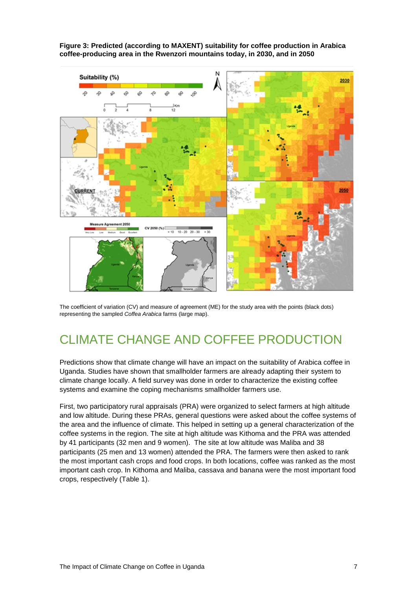



The coefficient of variation (CV) and measure of agreement (ME) for the study area with the points (black dots) representing the sampled *Coffea Arabica* farms (large map).

### CLIMATE CHANGE AND COFFEE PRODUCTION

Predictions show that climate change will have an impact on the suitability of Arabica coffee in Uganda. Studies have shown that smallholder farmers are already adapting their system to climate change locally. A field survey was done in order to characterize the existing coffee systems and examine the coping mechanisms smallholder farmers use.

First, two participatory rural appraisals (PRA) were organized to select farmers at high altitude and low altitude. During these PRAs, general questions were asked about the coffee systems of the area and the influence of climate. This helped in setting up a general characterization of the coffee systems in the region. The site at high altitude was Kithoma and the PRA was attended by 41 participants (32 men and 9 women). The site at low altitude was Maliba and 38 participants (25 men and 13 women) attended the PRA. The farmers were then asked to rank the most important cash crops and food crops. In both locations, coffee was ranked as the most important cash crop. In Kithoma and Maliba, cassava and banana were the most important food crops, respectively (Table 1).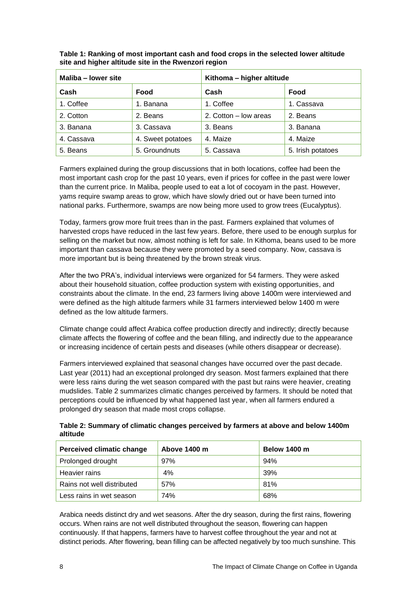| Maliba - lower site |                   | Kithoma - higher altitude |                   |  |
|---------------------|-------------------|---------------------------|-------------------|--|
| Cash                | Food              | Cash                      | Food              |  |
| 1. Coffee           | 1. Banana         | 1. Coffee                 | 1. Cassava        |  |
| 2. Cotton           | 2. Beans          | 2. Cotton - low areas     | 2. Beans          |  |
| 3. Banana           | 3. Cassava        | 3. Beans                  | 3. Banana         |  |
| 4. Cassava          | 4. Sweet potatoes | 4. Maize                  | 4. Maize          |  |
| 5. Beans            | 5. Groundnuts     | 5. Cassava                | 5. Irish potatoes |  |

**Table 1: Ranking of most important cash and food crops in the selected lower altitude site and higher altitude site in the Rwenzori region**

Farmers explained during the group discussions that in both locations, coffee had been the most important cash crop for the past 10 years, even if prices for coffee in the past were lower than the current price. In Maliba, people used to eat a lot of cocoyam in the past. However, yams require swamp areas to grow, which have slowly dried out or have been turned into national parks. Furthermore, swamps are now being more used to grow trees (Eucalyptus).

Today, farmers grow more fruit trees than in the past. Farmers explained that volumes of harvested crops have reduced in the last few years. Before, there used to be enough surplus for selling on the market but now, almost nothing is left for sale. In Kithoma, beans used to be more important than cassava because they were promoted by a seed company. Now, cassava is more important but is being threatened by the brown streak virus.

After the two PRA's, individual interviews were organized for 54 farmers. They were asked about their household situation, coffee production system with existing opportunities, and constraints about the climate. In the end, 23 farmers living above 1400m were interviewed and were defined as the high altitude farmers while 31 farmers interviewed below 1400 m were defined as the low altitude farmers.

Climate change could affect Arabica coffee production directly and indirectly; directly because climate affects the flowering of coffee and the bean filling, and indirectly due to the appearance or increasing incidence of certain pests and diseases (while others disappear or decrease).

Farmers interviewed explained that seasonal changes have occurred over the past decade. Last year (2011) had an exceptional prolonged dry season. Most farmers explained that there were less rains during the wet season compared with the past but rains were heavier, creating mudslides. Table 2 summarizes climatic changes perceived by farmers. It should be noted that perceptions could be influenced by what happened last year, when all farmers endured a prolonged dry season that made most crops collapse.

**Table 2: Summary of climatic changes perceived by farmers at above and below 1400m altitude**

| <b>Perceived climatic change</b> | Above 1400 m | <b>Below 1400 m</b> |
|----------------------------------|--------------|---------------------|
| Prolonged drought                | 97%          | 94%                 |
| Heavier rains                    | 4%           | 39%                 |
| Rains not well distributed       | 57%          | 81%                 |
| Less rains in wet season         | 74%          | 68%                 |

Arabica needs distinct dry and wet seasons. After the dry season, during the first rains, flowering occurs. When rains are not well distributed throughout the season, flowering can happen continuously. If that happens, farmers have to harvest coffee throughout the year and not at distinct periods. After flowering, bean filling can be affected negatively by too much sunshine. This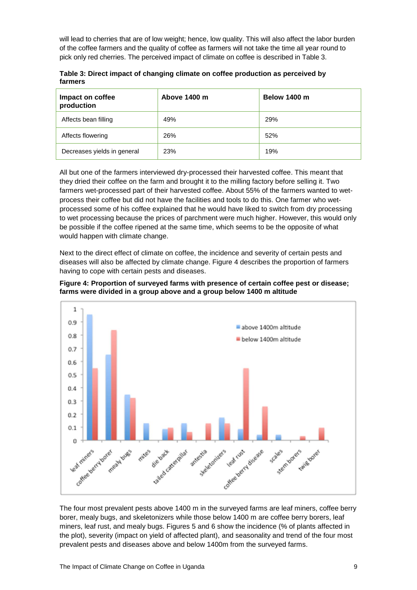will lead to cherries that are of low weight; hence, low quality. This will also affect the labor burden of the coffee farmers and the quality of coffee as farmers will not take the time all year round to pick only red cherries. The perceived impact of climate on coffee is described in Table 3.

| Impact on coffee<br>production | Above 1400 m | <b>Below 1400 m</b> |
|--------------------------------|--------------|---------------------|
| Affects bean filling           | 49%          | 29%                 |
| Affects flowering              | 26%          | 52%                 |
| Decreases yields in general    | 23%          | 19%                 |

**Table 3: Direct impact of changing climate on coffee production as perceived by farmers**

All but one of the farmers interviewed dry-processed their harvested coffee. This meant that they dried their coffee on the farm and brought it to the milling factory before selling it. Two farmers wet-processed part of their harvested coffee. About 55% of the farmers wanted to wetprocess their coffee but did not have the facilities and tools to do this. One farmer who wetprocessed some of his coffee explained that he would have liked to switch from dry processing to wet processing because the prices of parchment were much higher. However, this would only be possible if the coffee ripened at the same time, which seems to be the opposite of what would happen with climate change.

Next to the direct effect of climate on coffee, the incidence and severity of certain pests and diseases will also be affected by climate change. Figure 4 describes the proportion of farmers having to cope with certain pests and diseases.

**Figure 4: Proportion of surveyed farms with presence of certain coffee pest or disease; farms were divided in a group above and a group below 1400 m altitude**



The four most prevalent pests above 1400 m in the surveyed farms are leaf miners, coffee berry borer, mealy bugs, and skeletonizers while those below 1400 m are coffee berry borers, leaf miners, leaf rust, and mealy bugs. Figures 5 and 6 show the incidence (% of plants affected in the plot), severity (impact on yield of affected plant), and seasonality and trend of the four most prevalent pests and diseases above and below 1400m from the surveyed farms.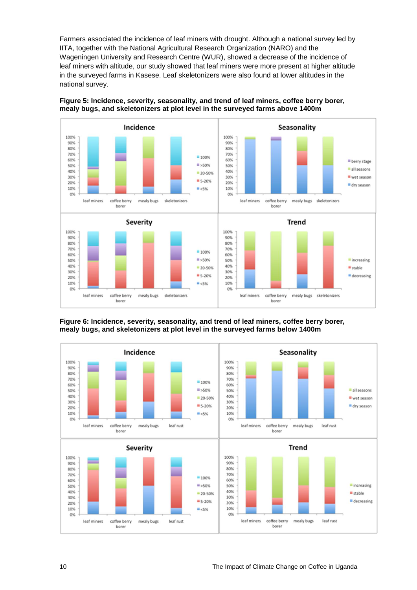Farmers associated the incidence of leaf miners with drought. Although a national survey led by IITA, together with the National Agricultural Research Organization (NARO) and the Wageningen University and Research Centre (WUR), showed a decrease of the incidence of leaf miners with altitude, our study showed that leaf miners were more present at higher altitude in the surveyed farms in Kasese. Leaf skeletonizers were also found at lower altitudes in the national survey.



#### **Figure 5: Incidence, severity, seasonality, and trend of leaf miners, coffee berry borer, mealy bugs, and skeletonizers at plot level in the surveyed farms above 1400m**



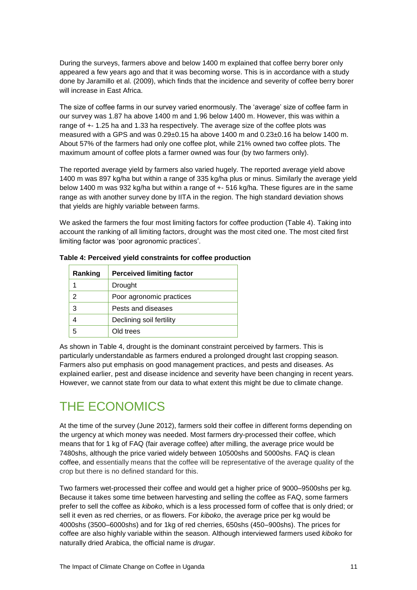During the surveys, farmers above and below 1400 m explained that coffee berry borer only appeared a few years ago and that it was becoming worse. This is in accordance with a study done by Jaramillo et al. (2009), which finds that the incidence and severity of coffee berry borer will increase in East Africa.

The size of coffee farms in our survey varied enormously. The 'average' size of coffee farm in our survey was 1.87 ha above 1400 m and 1.96 below 1400 m. However, this was within a range of +- 1.25 ha and 1.33 ha respectively. The average size of the coffee plots was measured with a GPS and was 0.29±0.15 ha above 1400 m and 0.23±0.16 ha below 1400 m. About 57% of the farmers had only one coffee plot, while 21% owned two coffee plots. The maximum amount of coffee plots a farmer owned was four (by two farmers only).

The reported average yield by farmers also varied hugely. The reported average yield above 1400 m was 897 kg/ha but within a range of 335 kg/ha plus or minus. Similarly the average yield below 1400 m was 932 kg/ha but within a range of +- 516 kg/ha. These figures are in the same range as with another survey done by IITA in the region. The high standard deviation shows that yields are highly variable between farms.

We asked the farmers the four most limiting factors for coffee production (Table 4). Taking into account the ranking of all limiting factors, drought was the most cited one. The most cited first limiting factor was 'poor agronomic practices'.

| Ranking | <b>Perceived limiting factor</b> |
|---------|----------------------------------|
|         | Drought                          |
| 2       | Poor agronomic practices         |
| 3       | Pests and diseases               |
|         | Declining soil fertility         |
| 5       | Old trees                        |

**Table 4: Perceived yield constraints for coffee production**

As shown in Table 4, drought is the dominant constraint perceived by farmers. This is particularly understandable as farmers endured a prolonged drought last cropping season. Farmers also put emphasis on good management practices, and pests and diseases. As explained earlier, pest and disease incidence and severity have been changing in recent years. However, we cannot state from our data to what extent this might be due to climate change.

### THE ECONOMICS

At the time of the survey (June 2012), farmers sold their coffee in different forms depending on the urgency at which money was needed. Most farmers dry-processed their coffee, which means that for 1 kg of FAQ (fair average coffee) after milling, the average price would be 7480shs, although the price varied widely between 10500shs and 5000shs. FAQ is clean coffee, and essentially means that the coffee will be representative of the average quality of the crop but there is no defined standard for this.

Two farmers wet-processed their coffee and would get a higher price of 9000–9500shs per kg. Because it takes some time between harvesting and selling the coffee as FAQ, some farmers prefer to sell the coffee as *kiboko*, which is a less processed form of coffee that is only dried; or sell it even as red cherries, or as flowers. For *kiboko*, the average price per kg would be 4000shs (3500–6000shs) and for 1kg of red cherries, 650shs (450–900shs). The prices for coffee are also highly variable within the season. Although interviewed farmers used *kiboko* for naturally dried Arabica, the official name is *drugar*.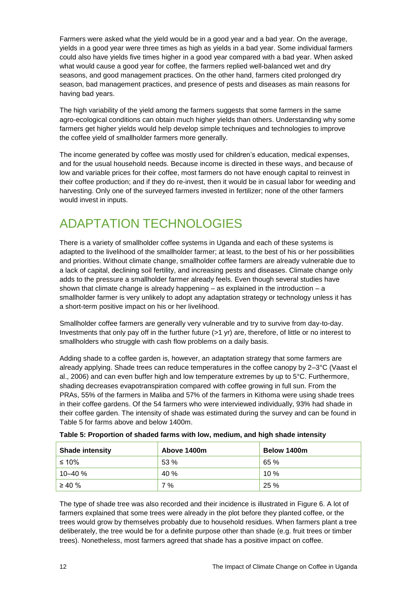Farmers were asked what the yield would be in a good year and a bad year. On the average, yields in a good year were three times as high as yields in a bad year. Some individual farmers could also have yields five times higher in a good year compared with a bad year. When asked what would cause a good year for coffee, the farmers replied well-balanced wet and dry seasons, and good management practices. On the other hand, farmers cited prolonged dry season, bad management practices, and presence of pests and diseases as main reasons for having bad years.

The high variability of the yield among the farmers suggests that some farmers in the same agro-ecological conditions can obtain much higher yields than others. Understanding why some farmers get higher yields would help develop simple techniques and technologies to improve the coffee yield of smallholder farmers more generally.

The income generated by coffee was mostly used for children's education, medical expenses, and for the usual household needs. Because income is directed in these ways, and because of low and variable prices for their coffee, most farmers do not have enough capital to reinvest in their coffee production; and if they do re-invest, then it would be in casual labor for weeding and harvesting. Only one of the surveyed farmers invested in fertilizer; none of the other farmers would invest in inputs.

# ADAPTATION TECHNOLOGIES

There is a variety of smallholder coffee systems in Uganda and each of these systems is adapted to the livelihood of the smallholder farmer; at least, to the best of his or her possibilities and priorities. Without climate change, smallholder coffee farmers are already vulnerable due to a lack of capital, declining soil fertility, and increasing pests and diseases. Climate change only adds to the pressure a smallholder farmer already feels. Even though several studies have shown that climate change is already happening – as explained in the introduction – a smallholder farmer is very unlikely to adopt any adaptation strategy or technology unless it has a short-term positive impact on his or her livelihood.

Smallholder coffee farmers are generally very vulnerable and try to survive from day-to-day. Investments that only pay off in the further future (>1 yr) are, therefore, of little or no interest to smallholders who struggle with cash flow problems on a daily basis.

Adding shade to a coffee garden is, however, an adaptation strategy that some farmers are already applying. Shade trees can reduce temperatures in the coffee canopy by 2–3°C (Vaast el al., 2006) and can even buffer high and low temperature extremes by up to 5°C. Furthermore, shading decreases evapotranspiration compared with coffee growing in full sun. From the PRAs, 55% of the farmers in Maliba and 57% of the farmers in Kithoma were using shade trees in their coffee gardens. Of the 54 farmers who were interviewed individually, 93% had shade in their coffee garden. The intensity of shade was estimated during the survey and can be found in Table 5 for farms above and below 1400m.

| <b>Shade intensity</b> | Above 1400m | Below 1400m |
|------------------------|-------------|-------------|
| ≤ 10%                  | 53%         | 65 %        |
| 10–40 %                | 40 %        | 10%         |
| $\geq 40 \%$           | 7%          | 25 %        |

| Table 5: Proportion of shaded farms with low, medium, and high shade intensity |  |  |
|--------------------------------------------------------------------------------|--|--|
|                                                                                |  |  |
|                                                                                |  |  |

The type of shade tree was also recorded and their incidence is illustrated in Figure 6. A lot of farmers explained that some trees were already in the plot before they planted coffee, or the trees would grow by themselves probably due to household residues. When farmers plant a tree deliberately, the tree would be for a definite purpose other than shade (e.g. fruit trees or timber trees). Nonetheless, most farmers agreed that shade has a positive impact on coffee.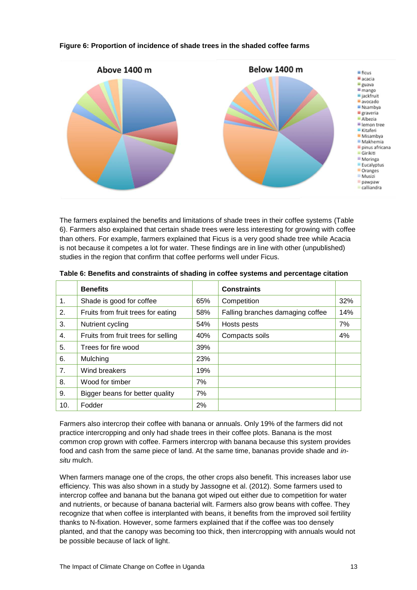

#### **Figure 6: Proportion of incidence of shade trees in the shaded coffee farms**

The farmers explained the benefits and limitations of shade trees in their coffee systems (Table 6). Farmers also explained that certain shade trees were less interesting for growing with coffee than others. For example, farmers explained that Ficus is a very good shade tree while Acacia is not because it competes a lot for water. These findings are in line with other (unpublished) studies in the region that confirm that coffee performs well under Ficus.

|     | <b>Benefits</b>                     |     | <b>Constraints</b>               |     |
|-----|-------------------------------------|-----|----------------------------------|-----|
| 1.  | Shade is good for coffee            | 65% | Competition                      | 32% |
| 2.  | Fruits from fruit trees for eating  | 58% | Falling branches damaging coffee | 14% |
| 3.  | Nutrient cycling                    | 54% | Hosts pests                      | 7%  |
| 4.  | Fruits from fruit trees for selling | 40% | Compacts soils                   | 4%  |
| 5.  | Trees for fire wood                 | 39% |                                  |     |
| 6.  | Mulching                            | 23% |                                  |     |
| 7.  | Wind breakers                       | 19% |                                  |     |
| 8.  | Wood for timber                     | 7%  |                                  |     |
| 9.  | Bigger beans for better quality     | 7%  |                                  |     |
| 10. | Fodder                              | 2%  |                                  |     |

**Table 6: Benefits and constraints of shading in coffee systems and percentage citation** 

Farmers also intercrop their coffee with banana or annuals. Only 19% of the farmers did not practice intercropping and only had shade trees in their coffee plots. Banana is the most common crop grown with coffee. Farmers intercrop with banana because this system provides food and cash from the same piece of land. At the same time, bananas provide shade and *insitu* mulch.

When farmers manage one of the crops, the other crops also benefit. This increases labor use efficiency. This was also shown in a study by Jassogne et al. (2012). Some farmers used to intercrop coffee and banana but the banana got wiped out either due to competition for water and nutrients, or because of banana bacterial wilt. Farmers also grow beans with coffee. They recognize that when coffee is interplanted with beans, it benefits from the improved soil fertility thanks to N-fixation. However, some farmers explained that if the coffee was too densely planted, and that the canopy was becoming too thick, then intercropping with annuals would not be possible because of lack of light.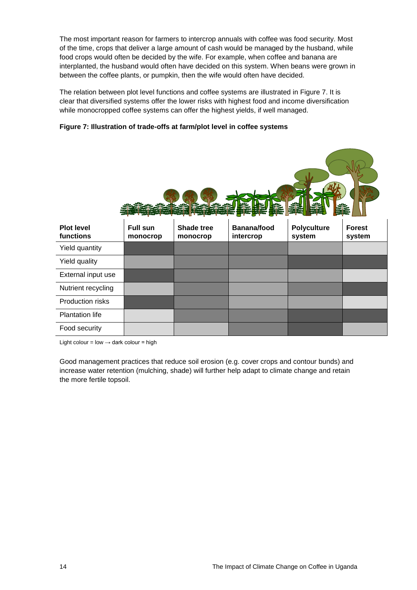The most important reason for farmers to intercrop annuals with coffee was food security. Most of the time, crops that deliver a large amount of cash would be managed by the husband, while food crops would often be decided by the wife. For example, when coffee and banana are interplanted, the husband would often have decided on this system. When beans were grown in between the coffee plants, or pumpkin, then the wife would often have decided.

The relation between plot level functions and coffee systems are illustrated in Figure 7. It is clear that diversified systems offer the lower risks with highest food and income diversification while monocropped coffee systems can offer the highest yields, if well managed.





Light colour = low  $\rightarrow$  dark colour = high

Good management practices that reduce soil erosion (e.g. cover crops and contour bunds) and increase water retention (mulching, shade) will further help adapt to climate change and retain the more fertile topsoil.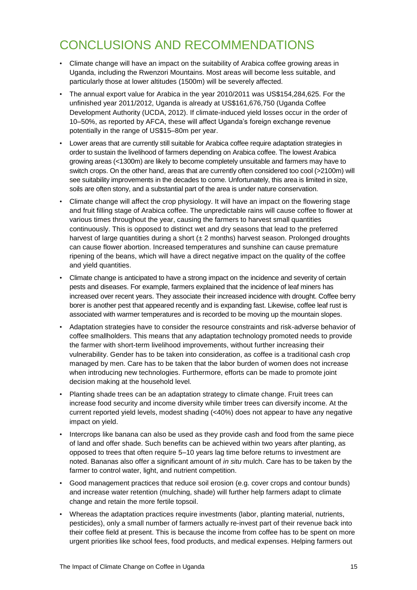### CONCLUSIONS AND RECOMMENDATIONS

- Climate change will have an impact on the suitability of Arabica coffee growing areas in Uganda, including the Rwenzori Mountains. Most areas will become less suitable, and particularly those at lower altitudes (1500m) will be severely affected.
- The annual export value for Arabica in the year 2010/2011 was US\$154,284,625. For the unfinished year 2011/2012, Uganda is already at US\$161,676,750 (Uganda Coffee Development Authority (UCDA, 2012). If climate-induced yield losses occur in the order of 10–50%, as reported by AFCA, these will affect Uganda's foreign exchange revenue potentially in the range of US\$15–80m per year.
- Lower areas that are currently still suitable for Arabica coffee require adaptation strategies in order to sustain the livelihood of farmers depending on Arabica coffee. The lowest Arabica growing areas (<1300m) are likely to become completely unsuitable and farmers may have to switch crops. On the other hand, areas that are currently often considered too cool (>2100m) will see suitability improvements in the decades to come. Unfortunately, this area is limited in size, soils are often stony, and a substantial part of the area is under nature conservation.
- Climate change will affect the crop physiology. It will have an impact on the flowering stage and fruit filling stage of Arabica coffee. The unpredictable rains will cause coffee to flower at various times throughout the year, causing the farmers to harvest small quantities continuously. This is opposed to distinct wet and dry seasons that lead to the preferred harvest of large quantities during a short  $(\pm 2 \text{ months})$  harvest season. Prolonged droughts can cause flower abortion. Increased temperatures and sunshine can cause premature ripening of the beans, which will have a direct negative impact on the quality of the coffee and yield quantities.
- Climate change is anticipated to have a strong impact on the incidence and severity of certain pests and diseases. For example, farmers explained that the incidence of leaf miners has increased over recent years. They associate their increased incidence with drought. Coffee berry borer is another pest that appeared recently and is expanding fast. Likewise, coffee leaf rust is associated with warmer temperatures and is recorded to be moving up the mountain slopes.
- Adaptation strategies have to consider the resource constraints and risk-adverse behavior of coffee smallholders. This means that any adaptation technology promoted needs to provide the farmer with short-term livelihood improvements, without further increasing their vulnerability. Gender has to be taken into consideration, as coffee is a traditional cash crop managed by men. Care has to be taken that the labor burden of women does not increase when introducing new technologies. Furthermore, efforts can be made to promote joint decision making at the household level*.*
- Planting shade trees can be an adaptation strategy to climate change. Fruit trees can increase food security and income diversity while timber trees can diversify income. At the current reported yield levels, modest shading (<40%) does not appear to have any negative impact on yield.
- Intercrops like banana can also be used as they provide cash and food from the same piece of land and offer shade. Such benefits can be achieved within two years after planting, as opposed to trees that often require 5–10 years lag time before returns to investment are noted. Bananas also offer a significant amount of *in situ* mulch. Care has to be taken by the farmer to control water, light, and nutrient competition.
- Good management practices that reduce soil erosion (e.g. cover crops and contour bunds) and increase water retention (mulching, shade) will further help farmers adapt to climate change and retain the more fertile topsoil.
- Whereas the adaptation practices require investments (labor, planting material, nutrients, pesticides), only a small number of farmers actually re-invest part of their revenue back into their coffee field at present. This is because the income from coffee has to be spent on more urgent priorities like school fees, food products, and medical expenses. Helping farmers out